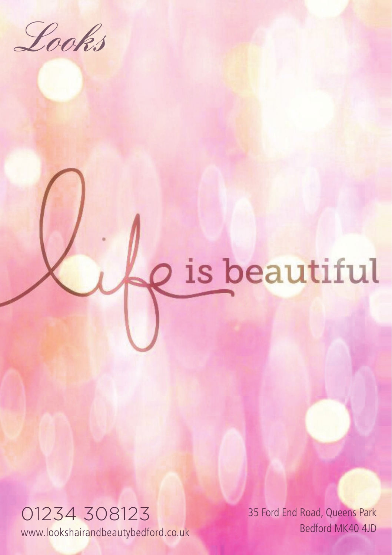Looks

## is beautiful

01234 308123 www.lookshairandbeautybedford.co.uk

 35 Ford End Road, Queens Park Bedford MK40 4JD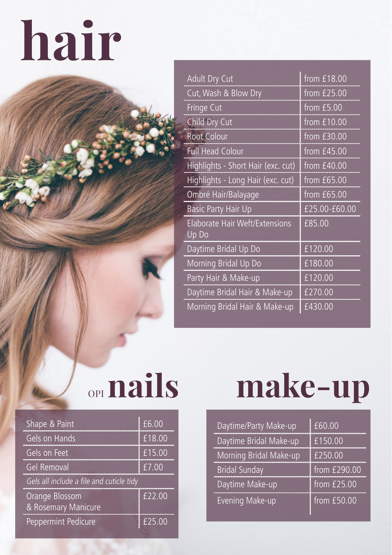## **hair**

| Adult Dry Cut                                  | from £18.00   |
|------------------------------------------------|---------------|
| Cut, Wash & Blow Dry                           | from $£25.00$ |
| Fringe Cut                                     | from £5.00    |
| Child Dry Cut                                  | from £10.00   |
| <b>Root Colour</b>                             | from £30.00   |
| <b>Full Head Colour</b>                        | from £45.00   |
| Highlights - Short Hair (exc. cut)             | from £40.00   |
| Highlights - Long Hair (exc. cut)              | from £65.00   |
| Ombré Hair/Balayage                            | from £65.00   |
| <b>Basic Party Hair Up</b>                     | £25.00-£60.00 |
| <b>Elaborate Hair Weft/Extensions</b><br>Up Do | £85.00        |
| Daytime Bridal Up Do                           | £120.00       |
| Morning Bridal Up Do                           | £180.00       |
| Party Hair & Make-up                           | £120.00       |
| Daytime Bridal Hair & Make-up                  | £270.00       |
| Morning Bridal Hair & Make-up                  | £430.00       |

| Shape & Paint                            | f6.00  |  |
|------------------------------------------|--------|--|
| Gels on Hands                            | £18.00 |  |
| Gels on Feet                             | £15.00 |  |
| Gel Removal                              | f7.00  |  |
| Gels all include a file and cuticle tidy |        |  |
| Orange Blossom<br>& Rosemary Manicure    | £22.00 |  |
| Peppermint Pedicure                      | £25.00 |  |

## OPI**nails make-up**

| Daytime/Party Make-up  | £60.00          |
|------------------------|-----------------|
| Daytime Bridal Make-up | £150.00         |
| Morning Bridal Make-up | £250.00         |
| <b>Bridal Sunday</b>   | from $E$ 290.00 |
| Daytime Make-up        | from $£25.00$   |
| <b>Evening Make-up</b> | from $£50.00$   |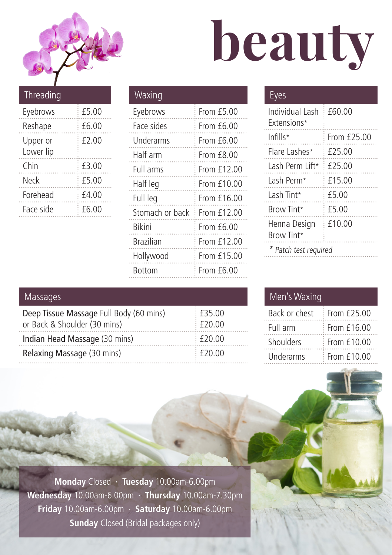

# **beauty**

| Threading             |       |
|-----------------------|-------|
| Eyebrows              | £5.00 |
| Reshape               | £6.00 |
| Upper or<br>Lower lip | £2.00 |
| Chin                  | £3.00 |
| Neck                  | £5.00 |
| Forehead              | £4.00 |
| Face side             | £6.00 |

| Waxing          |              |
|-----------------|--------------|
| Eyebrows        | From £5.00   |
| Face sides      | From £6.00   |
| Underarms       | From $f6.00$ |
| Half arm        | From £8.00   |
| Full arms       | From £12.00  |
| Half leg        | From £10.00  |
| Full leg        | From £16.00  |
| Stomach or back | From £12.00  |
| <b>Bikini</b>   | From $f6.00$ |
| Brazilian       | From £12.00  |
| Hollywood       | From £15.00  |
| Bottom          | From £6.00   |

### Eyes

| Individual Lash<br><b>Extensions*</b> | £60.00      |
|---------------------------------------|-------------|
| Infills*                              | From £25.00 |
| Flare Lashes*                         | £25.00      |
| I ash Perm I ift*                     | £25.00      |
| Lash Perm*                            | £15.00      |
| Lash Tint*                            | £5.00       |
| Brow Tint*                            | £5.00       |
| Henna Design<br>Brow Tint*            | £10.00      |
| Patch test required                   |             |

#### Massages

| Deep Tissue Massage Full Body (60 mins) | $£$ f35.00  |
|-----------------------------------------|-------------|
| or Back & Shoulder (30 mins)            | F20.00      |
| Indian Head Massage (30 mins)           | : £20.00    |
| Relaxing Massage (30 mins)              | $E_{20.00}$ |

#### Men's Waxing

| Back or chest | Fromf25.00    |
|---------------|---------------|
| Full arm      | From £16.00   |
| Shoulders     | From £10.00   |
| Underarms     | From $f10.00$ |

**Monday** Closed · **Tuesday** 10.00am-6.00pm **Wednesday** 10.00am-6.00pm · **Thursday** 10.00am-7.30pm **Friday** 10.00am-6.00pm · **Saturday** 10.00am-6.00pm **Sunday** Closed (Bridal packages only)